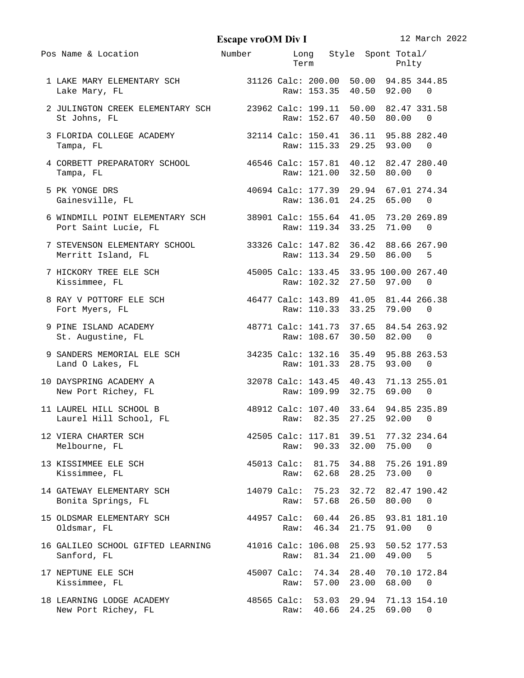**Escape vroOM Div I** 12 March 2022

| Pos Name & Location                                                                           | Number                                | Term                | Long Style Spont-Total/                                          |                | Pnlty                             |                          |
|-----------------------------------------------------------------------------------------------|---------------------------------------|---------------------|------------------------------------------------------------------|----------------|-----------------------------------|--------------------------|
| 1 LAKE MARY ELEMENTARY SCH 31126 Calc: 200.00 50.00 94.85 344.85<br>Lake Mary, FL             |                                       |                     | Raw: 153.35 40.50 92.00                                          |                |                                   | - 0                      |
| 2 JULINGTON CREEK ELEMENTARY SCH 23962 Calc: 199.11 50.00 82.47 331.58<br>St Johns, FL        |                                       |                     | Raw: 152.67 40.50 80.00                                          |                |                                   | $\Theta$                 |
| 3 FLORIDA COLLEGE ACADEMY<br>Tampa, FL                                                        |                                       |                     | 32114 Calc: 150.41 36.11 95.88 282.40<br>Raw: 115.33 29.25 93.00 |                |                                   | 0                        |
| 4 CORBETT PREPARATORY SCHOOL 46546 Calc: 157.81 40.12 82.47 280.40<br>Tampa, FL               |                                       |                     | Raw: 121.00 32.50 80.00                                          |                |                                   | 0                        |
| 5 PK YONGE DRS<br>Gainesville, FL                                                             | 40694 Calc: 177.39 29.94 67.01 274.34 |                     | Raw: 136.01 24.25 65.00                                          |                |                                   | $\bullet$                |
| 6 WINDMILL POINT ELEMENTARY SCH 38901 Calc: 155.64 41.05 73.20 269.89<br>Port Saint Lucie, FL |                                       |                     | Raw: 119.34 33.25 71.00                                          |                |                                   | 0                        |
| 7 STEVENSON ELEMENTARY SCHOOL 33326 Calc: 147.82 36.42 88.66 267.90<br>Merritt Island, FL     |                                       |                     | Raw: 113.34 29.50 86.00                                          |                |                                   | 5                        |
| 7 HICKORY TREE ELE SCH 45005 Calc: 133.45 33.95 100.00 267.40<br>Kissimmee, FL                |                                       |                     | Raw: 102.32 27.50 97.00                                          |                |                                   | $\Theta$                 |
| 8 RAY V POTTORF ELE SCH 46477 Calc: 143.89 41.05 81.44 266.38<br>Fort Myers, FL               |                                       |                     | Raw: 110.33 33.25 79.00                                          |                |                                   | 0                        |
| 9 PINE ISLAND ACADEMY 48771 Calc: 141.73 37.65 84.54 263.92<br>St. Augustine, FL              |                                       |                     | Raw: 108.67 30.50 82.00                                          |                |                                   | 0                        |
| 9 SANDERS MEMORIAL ELE SCH 34235 Calc: 132.16 35.49 95.88 263.53<br>Land O Lakes, FL          |                                       |                     | Raw: 101.33 28.75 93.00                                          |                |                                   | 0                        |
| 10 DAYSPRING ACADEMY A<br>New Port Richey, FL                                                 |                                       |                     | 32078 Calc: 143.45 40.43 71.13 255.01<br>Raw: 109.99 32.75 69.00 |                |                                   | - 0                      |
| 11 LAUREL HILL SCHOOL B<br>Laurel Hill School, FL                                             | 48912 Calc: 107.40 33.64 94.85 235.89 |                     | Raw: 82.35 27.25 92.00                                           |                |                                   | $\Theta$                 |
| 12 VIERA CHARTER SCH<br>Melbourne, FL                                                         | 42505 Calc: 117.81 39.51 77.32 234.64 | Raw:                | 90.33                                                            | 32.00          | 75.00                             | 0                        |
| 13 KISSIMMEE ELE SCH<br>Kissimmee, FL                                                         |                                       | 45013 Calc:<br>Raw: | 81.75<br>62.68                                                   | 28.25          | 34.88 75.26 191.89<br>73.00       | 0                        |
| 14 GATEWAY ELEMENTARY SCH<br>Bonita Springs, FL                                               |                                       | 14079 Calc:<br>Raw: | 57.68                                                            | 26.50          | 75.23 32.72 82.47 190.42<br>80.00 | 0                        |
| 15 OLDSMAR ELEMENTARY SCH<br>Oldsmar, FL                                                      |                                       | 44957 Calc:<br>Raw: | 46.34                                                            | 21.75          | 60.44 26.85 93.81 181.10<br>91.00 | 0                        |
| 16 GALILEO SCHOOL GIFTED LEARNING<br>Sanford, FL                                              |                                       | Raw:                | 41016 Calc: 106.08<br>81.34                                      | 25.93<br>21.00 | 49.00                             | 50.52 177.53<br>5        |
| 17 NEPTUNE ELE SCH<br>Kissimmee, FL                                                           |                                       | 45007 Calc:<br>Raw: | 74.34<br>57.00                                                   | 28.40<br>23.00 | 68.00                             | 70.10 172.84<br>$\Theta$ |
| 18 LEARNING LODGE ACADEMY<br>New Port Richey, FL                                              |                                       | 48565 Calc:<br>Raw: | 40.66                                                            | 24.25          | 53.03 29.94 71.13 154.10<br>69.00 | 0                        |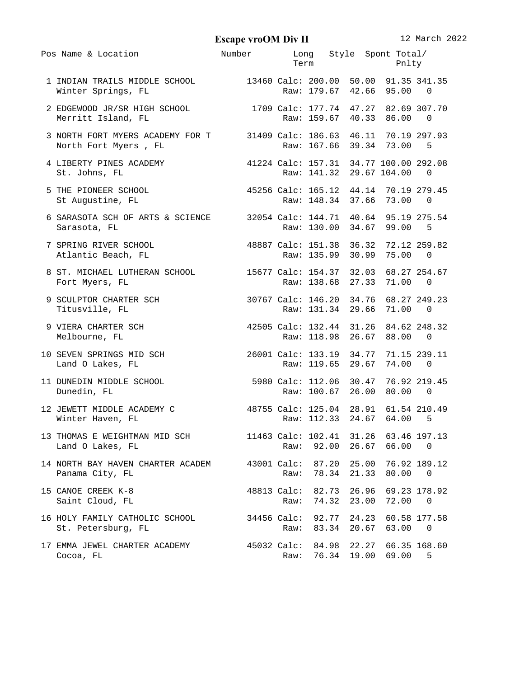**Escape vroOM Div II** 12 March 2022

| Pos Name & Location                                                                                        | Number Long Style Spont Total/                                          |                     | Term Pnlty                                     |                            |       |                   |
|------------------------------------------------------------------------------------------------------------|-------------------------------------------------------------------------|---------------------|------------------------------------------------|----------------------------|-------|-------------------|
| 1 INDIAN TRAILS MIDDLE SCHOOL 13460 Calc: 200.00 50.00 91.35 341.35<br>Winter Springs, FL                  |                                                                         |                     | Raw: 179.67 42.66 95.00 0                      |                            |       |                   |
|                                                                                                            |                                                                         |                     |                                                |                            |       |                   |
| 3 NORTH FORT MYERS ACADEMY FOR T 31409 Calc: 186.63 46.11 70.19 297.93<br>North Fort Myers, FL             |                                                                         |                     | Raw: 167.66 39.34 73.00 5                      |                            |       |                   |
|                                                                                                            |                                                                         |                     |                                                |                            |       |                   |
| 5 THE PIONEER SCHOOL 45256 Calc: 165.12 44.14 70.19 279.45<br>St Augustine, FL                             |                                                                         |                     | Raw: 148.34 37.66 73.00                        |                            |       | - 0               |
| 6 SARASOTA SCH OF ARTS & SCIENCE 32054 Calc: 144.71 40.64 95.19 275.54<br>Sarasota, FL                     |                                                                         |                     | Raw: 130.00 34.67 99.00 5                      |                            |       |                   |
| 7 SPRING RIVER SCHOOL<br>Atlantic Beach, FL                                                                | 48887 Calc: 151.38  36.32  72.12 259.82<br>Raw: 135.99  30.99  75.00  0 |                     |                                                |                            |       |                   |
| 8 ST. MICHAEL LUTHERAN SCHOOL 15677 Calc: 154.37 32.03 68.27 254.67<br>Fort Myers, FL                      |                                                                         |                     | Raw: 138.68 27.33 71.00                        |                            |       | - 0               |
| 9 SCULPTOR CHARTER SCH 30767 Calc: 146.20 34.76 68.27 249.23<br>Titusville, FL                             |                                                                         |                     | Raw: 131.34 29.66 71.00                        |                            |       | - 0               |
| 42505 Calc: 132.44 31.26 84.62 248.32<br>Raw: 118 98 26 67 88.00 0<br>9 VIERA CHARTER SCH<br>Melbourne, FL |                                                                         |                     | Raw: 118.98 26.67 88.00 0                      |                            |       |                   |
| Land O Lakes, FL                                                                                           |                                                                         |                     | Raw: 119.65 29.67 74.00                        |                            |       | - 0               |
| 11 DUNEDIN MIDDLE SCHOOL 5980 Calc: 112.06 30.47 76.92 219.45<br>Dunedin, FL                               |                                                                         |                     | Raw: 100.67 26.00 80.00                        |                            |       | - 0               |
| 12 JEWETT MIDDLE ACADEMY C                 48755 Calc: 125.04  28.91  61.54 210.49<br>Winter Haven, FL     |                                                                         |                     | Raw: 112.33 24.67 64.00                        |                            |       | 5                 |
| 13 THOMAS E WEIGHTMAN MID SCH<br>Land O Lakes, FL                                                          |                                                                         | Raw:                | 11463 Calc: 102.41 31.26 63.46 197.13<br>92.00 | 26.67                      | 66.00 | 0                 |
| 14 NORTH BAY HAVEN CHARTER ACADEM<br>Panama City, FL                                                       |                                                                         | 43001 Calc:<br>Raw: |                                                | 87.20 25.00<br>78.34 21.33 | 80.00 | 76.92 189.12<br>0 |
| 15 CANOE CREEK K-8<br>Saint Cloud, FL                                                                      |                                                                         | 48813 Calc:<br>Raw: |                                                | 82.73 26.96<br>74.32 23.00 | 72.00 | 69.23 178.92<br>0 |
| 16 HOLY FAMILY CATHOLIC SCHOOL<br>St. Petersburg, FL                                                       |                                                                         | 34456 Calc:<br>Raw: | 83.34                                          | 92.77 24.23<br>20.67       | 63.00 | 60.58 177.58<br>0 |
| 17 EMMA JEWEL CHARTER ACADEMY<br>Cocoa, FL                                                                 |                                                                         | 45032 Calc:<br>Raw: |                                                | 84.98 22.27<br>76.34 19.00 | 69.00 | 66.35 168.60<br>5 |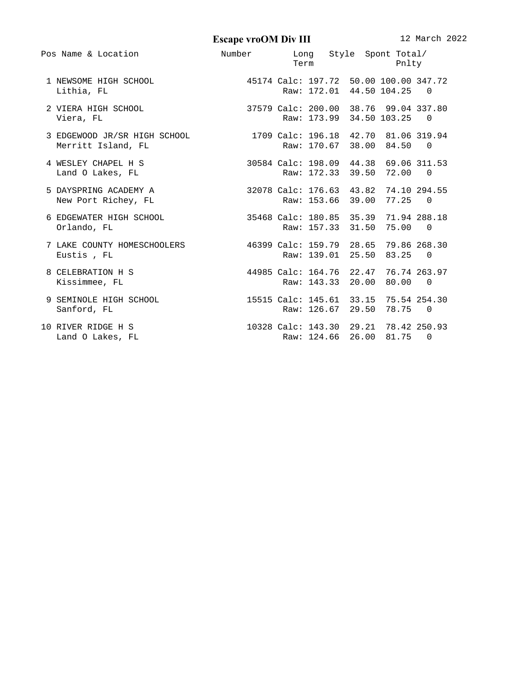**Escape vroOM Div III** 12 March 2022

| Pos Name & Location                                                          | Number Long Style Spont Total/        | <b>Term</b>                                                        | Pnlty |     |  |
|------------------------------------------------------------------------------|---------------------------------------|--------------------------------------------------------------------|-------|-----|--|
| 1 NEWSOME HIGH SCHOOL 45174 Calc: 197.72 50.00 100.00 347.72<br>Lithia, FL   |                                       | Raw: 172.01 44.50 104.25                                           |       |     |  |
| 2 VIERA HIGH SCHOOL<br>Viera, FL                                             |                                       | 37579 Calc: 200.00 38.76 99.04 337.80<br>Raw: 173.99 34.50 103.25  |       | - 0 |  |
| 3 EDGEWOOD JR/SR HIGH SCHOOL<br>Merritt Island, FL                           |                                       | 1709 Calc: 196.18 42.70 81.06 319.94<br>Raw: 170.67 38.00 84.50 0  |       |     |  |
| 4 WESLEY CHAPEL H S<br>Land O Lakes, FL                                      |                                       | 30584 Calc: 198.09 44.38 69.06 311.53<br>Raw: 172.33 39.50 72.00 0 |       |     |  |
| 5 DAYSPRING ACADEMY A<br>New Port Richey, FL                                 |                                       | 32078 Calc: 176.63 43.82 74.10 294.55<br>Raw: 153.66 39.00 77.25   |       | - 0 |  |
| 6 EDGEWATER HIGH SCHOOL 35468 Calc: 180.85 35.39 71.94 288.18<br>Orlando, FL |                                       | Raw: 157.33 31.50 75.00                                            |       | - 0 |  |
| 7 LAKE COUNTY HOMESCHOOLERS<br>Eustis, FL                                    |                                       | 46399 Calc: 159.79 28.65 79.86 268.30<br>Raw: 139.01 25.50 83.25   |       | - 0 |  |
| 8 CELEBRATION H S<br>Kissimmee, FL                                           | 44985 Calc: 164.76 22.47 76.74 263.97 | Raw: 143.33 20.00 80.00                                            |       | - 0 |  |
| 9 SEMINOLE HIGH SCHOOL<br>Sanford, FL                                        |                                       | 15515 Calc: 145.61 33.15 75.54 254.30<br>Raw: 126.67 29.50 78.75   |       | - 0 |  |
| 10 RIVER RIDGE H S<br>Land O Lakes, FL                                       |                                       | 10328 Calc: 143.30 29.21 78.42 250.93<br>Raw: 124.66 26.00 81.75 0 |       |     |  |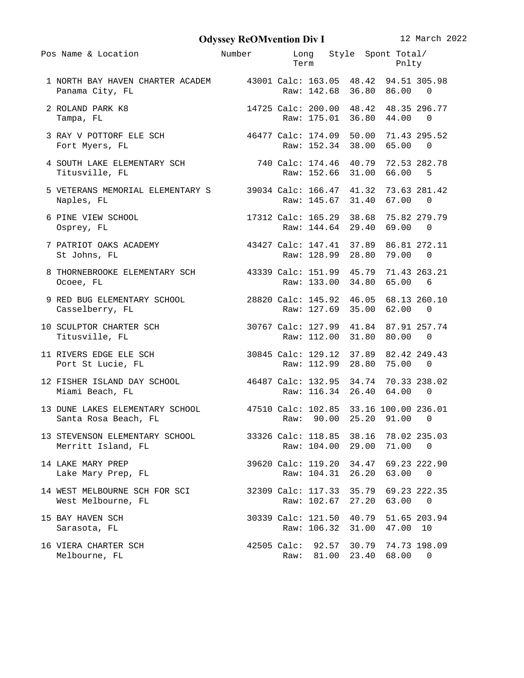**Odyssey ReOMvention Div I** 12 March 2022

| Pos Name & Location                                                                            | Number                                |      |                                   | Long Style Spont Total/<br><b>Term</b> and the state of the state of the state of the state of the state of the state of the state of the state of the state of the state of the state of the state of the state of the state of the state of the state of the | Pnlty                       |                   |
|------------------------------------------------------------------------------------------------|---------------------------------------|------|-----------------------------------|----------------------------------------------------------------------------------------------------------------------------------------------------------------------------------------------------------------------------------------------------------------|-----------------------------|-------------------|
| 1 NORTH BAY HAVEN CHARTER ACADEM 43001 Calc: 163.05 48.42 94.51 305.98<br>Panama City, FL      |                                       |      |                                   | Raw: 142.68 36.80 86.00                                                                                                                                                                                                                                        |                             | - 0               |
| 2 ROLAND PARK K8<br>Tampa, FL                                                                  |                                       |      |                                   | 14725 Calc: 200.00 48.42 48.35 296.77<br>Raw: 175.01 36.80 44.00                                                                                                                                                                                               |                             | - 0               |
| 3 RAY V POTTORF ELE SCH 46477 Calc: 174.09 50.00 71.43 295.52<br>Fort Myers, FL                |                                       |      |                                   | Raw: 152.34 38.00 65.00                                                                                                                                                                                                                                        |                             | - 0               |
| 4 SOUTH LAKE ELEMENTARY SCH 740 Calc: 174.46 40.79 72.53 282.78<br>Titusville, FL              |                                       |      |                                   | Raw: 152.66 31.00 66.00                                                                                                                                                                                                                                        |                             | 5                 |
| 5 VETERANS MEMORIAL ELEMENTARY S 39034 Calc: 166.47 41.32 73.63 281.42<br>Naples, FL           |                                       |      |                                   | Raw: 145.67 31.40 67.00                                                                                                                                                                                                                                        |                             | 0                 |
| 6 PINE VIEW SCHOOL<br>Osprey, FL                                                               |                                       |      |                                   | 17312 Calc: 165.29 38.68 75.82 279.79<br>Raw: 144.64 29.40 69.00                                                                                                                                                                                               |                             | - 0               |
| 7 PATRIOT OAKS ACADEMY<br>St Johns, FL                                                         | 43427 Calc: 147.41 37.89 86.81 272.11 |      |                                   | Raw: 128.99 28.80 79.00                                                                                                                                                                                                                                        |                             | $\Theta$          |
| 8 THORNEBROOKE ELEMENTARY SCH 43339 Calc: 151.99 45.79 71.43 263.21<br>Ocoee, FL               |                                       |      |                                   | Raw: 133.00 34.80 65.00                                                                                                                                                                                                                                        |                             | 6                 |
| 9 RED BUG ELEMENTARY SCHOOL 28820 Calc: 145.92 46.05 68.13 260.10<br>Casselberry, FL           |                                       |      |                                   | Raw: 127.69 35.00 62.00                                                                                                                                                                                                                                        |                             | - 0               |
| 10 SCULPTOR CHARTER SCH<br>Titusville, FL                                                      | 30767 Calc: 127.99 41.84 87.91 257.74 |      |                                   | Raw: 112.00 31.80 80.00                                                                                                                                                                                                                                        |                             | 0                 |
| 30845 Calc: 129.12 37.89 82.42 249.43<br>11 RIVERS EDGE ELE SCH<br>Port St Lucie, FL           |                                       |      |                                   | Raw: 112.99 28.80 75.00                                                                                                                                                                                                                                        |                             | 0                 |
| 12 FISHER ISLAND DAY SCHOOL 46487 Calc: 132.95 34.74 70.33 238.02<br>Miami Beach, FL           |                                       |      |                                   | Raw: 116.34 26.40 64.00                                                                                                                                                                                                                                        |                             | - 0               |
| 13 DUNE LAKES ELEMENTARY SCHOOL 47510 Calc: 102.85 33.16 100.00 236.01<br>Santa Rosa Beach, FL |                                       | Raw: |                                   | 90.00 25.20 91.00                                                                                                                                                                                                                                              |                             | 0                 |
| 13 STEVENSON ELEMENTARY SCHOOL<br>Merritt Island, FL                                           |                                       |      | 33326 Calc: 118.85<br>Raw: 104.00 | 29.00                                                                                                                                                                                                                                                          | 38.16 78.02 235.03<br>71.00 | 0                 |
| 14 LAKE MARY PREP<br>Lake Mary Prep, FL                                                        |                                       |      |                                   | 39620 Calc: 119.20 34.47<br>Raw: 104.31 26.20                                                                                                                                                                                                                  | 63.00                       | 69.23 222.90<br>0 |
| 14 WEST MELBOURNE SCH FOR SCI<br>West Melbourne, FL                                            |                                       |      | 32309 Calc: 117.33<br>Raw: 102.67 | 35.79<br>27.20                                                                                                                                                                                                                                                 | 63.00                       | 69.23 222.35<br>0 |
| 15 BAY HAVEN SCH<br>Sarasota, FL                                                               |                                       |      | 30339 Calc: 121.50<br>Raw: 106.32 | 40.79<br>31.00                                                                                                                                                                                                                                                 | 47.00 10                    | 51.65 203.94      |
| 16 VIERA CHARTER SCH<br>Melbourne, FL                                                          |                                       | Raw: | 81.00                             | 42505 Calc: 92.57 30.79 74.73 198.09<br>23.40                                                                                                                                                                                                                  | 68.00                       | 0                 |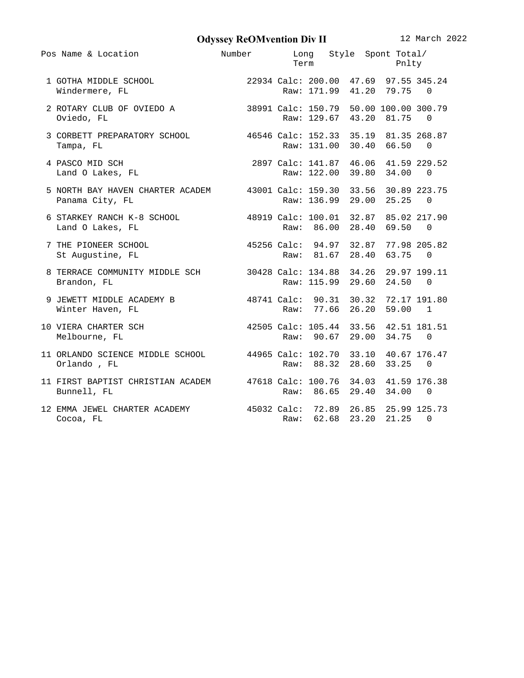**Odyssey ReOMvention Div II** 12 March 2022

| Pos Name & Location                                                                                               | Number Long Style Spont Total/ |      | Term Pnlty                |                   |           |
|-------------------------------------------------------------------------------------------------------------------|--------------------------------|------|---------------------------|-------------------|-----------|
| 1 GOTHA MIDDLE SCHOOL 22934 Calc: 200.00 47.69 97.55 345.24<br>Windermere, FL 800 Raw: 171.99 41.20 79.75 0       |                                |      |                           |                   |           |
| 2 ROTARY CLUB OF OVIEDO A 38991 Calc: 150.79 50.00 100.00 300.79<br>Oviedo, FL                                    |                                |      | Raw: 129.67 43.20 81.75   |                   | - 0       |
| 3 CORBETT PREPARATORY SCHOOL 46546 Calc: 152.33 35.19 81.35 268.87<br>Tampa, FL                                   |                                |      | Raw: 131.00 30.40 66.50   |                   | $\bullet$ |
| 4 PASCO MID SCH<br>Land O Lakes, FL                                                                               |                                |      |                           |                   |           |
| 5 NORTH BAY HAVEN CHARTER ACADEM 43001 Calc: 159.30 33.56 30.89 223.75<br>Panama City, FL                         |                                |      | Raw: 136.99 29.00 25.25 0 |                   |           |
| 6 STARKEY RANCH K-8 SCHOOL 48919 Calc: 100.01 32.87 85.02 217.90<br>Land O Lakes, FL                              |                                |      | Raw: 86.00 28.40 69.50    |                   | - 0       |
| 45256 Calc: 94.97 32.87 77.98 205.82<br>7 THE PIONEER SCHOOL<br>St Augustine, FL                                  |                                |      | Raw: 81.67 28.40 63.75    |                   | - 0       |
| 8 TERRACE COMMUNITY MIDDLE SCH 30428 Calc: 134.88 34.26 29.97 199.11<br>Brandon, FL                               |                                |      | Raw: 115.99 29.60 24.50   |                   | $\bullet$ |
| 9 JEWETT MIDDLE ACADEMY B 48741 Calc: 90.31 30.32 72.17 191.80<br>Winter Haven, FL                                |                                |      | Raw: 77.66 26.20 59.00 1  |                   |           |
| 10 VIERA CHARTER SCH                                   42505 Calc: 105.44   33.56   42.51 181.51<br>Melbourne, FL |                                |      | Raw: 90.67 29.00 34.75    |                   | - 0       |
| 11 ORLANDO SCIENCE MIDDLE SCHOOL 44965 Calc: 102.70 33.10 40.67 176.47<br>Orlando, FL                             |                                |      | Raw: 88.32 28.60 33.25    |                   | - 0       |
| 11 FIRST BAPTIST CHRISTIAN ACADEM 47618 Calc: 100.76 34.03 41.59 176.38<br>Bunnell, FL                            |                                |      | Raw: 86.65 29.40 34.00 0  |                   |           |
| 12 EMMA JEWEL CHARTER ACADEMY 45032 Calc: 72.89 26.85 25.99 125.73<br>Cocoa, FL                                   |                                | Raw: |                           | 62.68 23.20 21.25 | 0         |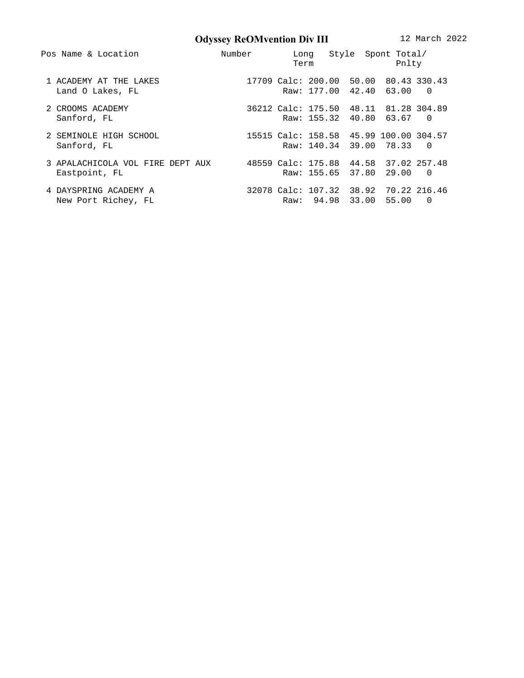**Odyssey ReOMvention Div III** 12 March 2022

| Pos Name & Location                                                                     | Number | Term | Long Style Spont Total/                                           | Pnlty |     |
|-----------------------------------------------------------------------------------------|--------|------|-------------------------------------------------------------------|-------|-----|
| 1 ACADEMY AT THE LAKES<br>Land O Lakes, FL                                              |        |      | 17709 Calc: 200.00 50.00 80.43 330.43<br>Raw: 177.00 42.40 63.00  |       | 0   |
| 2 CROOMS ACADEMY<br>Sanford, FL                                                         |        |      | 36212 Calc: 175.50 48.11 81.28 304.89<br>Raw: 155.32 40.80 63.67  |       | - 0 |
| 2 SEMINOLE HIGH SCHOOL<br>Sanford, FL                                                   |        |      | 15515 Calc: 158.58 45.99 100.00 304.57<br>Raw: 140.34 39.00 78.33 |       | - 0 |
| 3 APALACHICOLA VOL FIRE DEPT AUX 48559 Calc: 175.88 44.58 37.02 257.48<br>Eastpoint, FL |        |      | Raw: 155.65 37.80 29.00                                           |       | 0   |
| 4 DAYSPRING ACADEMY A<br>New Port Richey, FL                                            |        |      | 32078 Calc: 107.32 38.92 70.22 216.46<br>Raw: 94.98 33.00 55.00   |       | 0   |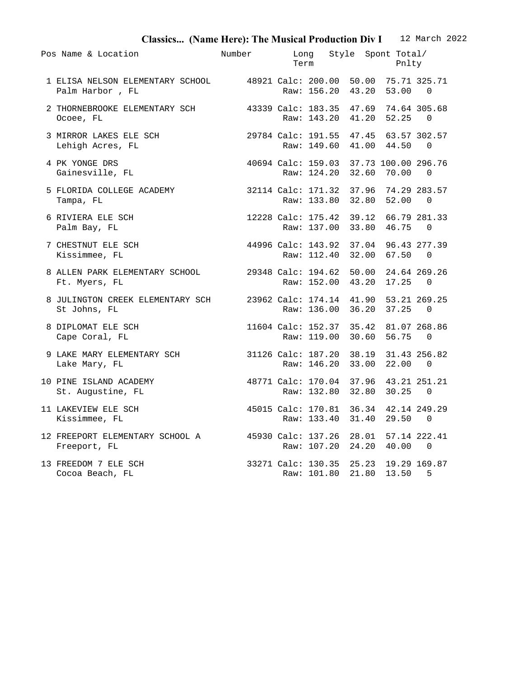| Classics (Name Here): The Musical Production Div I 12 March 2022                          |                                       |      |      |  |                         |                                             |  |
|-------------------------------------------------------------------------------------------|---------------------------------------|------|------|--|-------------------------|---------------------------------------------|--|
| Pos Name & Location                                                                       | Number                                | Term | Long |  | Style Spont Total/      | Pnlty                                       |  |
| 1 ELISA NELSON ELEMENTARY SCHOOL 48921 Calc: 200.00 50.00 75.71 325.71<br>Palm Harbor, FL |                                       |      |      |  | Raw: 156.20 43.20 53.00 | 0                                           |  |
| 2 THORNEBROOKE ELEMENTARY SCH 43339 Calc: 183.35 47.69 74.64 305.68<br>Ocoee, FL          |                                       |      |      |  | Raw: 143.20 41.20 52.25 | 0                                           |  |
| 3 MIRROR LAKES ELE SCH<br>Lehigh Acres, FL                                                | 29784 Calc: 191.55 47.45 63.57 302.57 |      |      |  | Raw: 149.60 41.00 44.50 | 0                                           |  |
| 4 PK YONGE DRS<br>Gainesville, FL                                                         |                                       |      |      |  | Raw: 124.20 32.60 70.00 | 40694 Calc: 159.03 37.73 100.00 296.76<br>0 |  |
| 5 FLORIDA COLLEGE ACADEMY 32114 Calc: 171.32 37.96 74.29 283.57<br>Tampa, FL              |                                       |      |      |  | Raw: 133.80 32.80 52.00 | 0                                           |  |
| 6 RIVIERA ELE SCH<br>Palm Bay, FL                                                         |                                       |      |      |  | Raw: 137.00 33.80 46.75 | 12228 Calc: 175.42 39.12 66.79 281.33<br>0  |  |
| 44996 Calc: 143.92 37.04 96.43 277.39<br>7 CHESTNUT ELE SCH<br>Kissimmee, FL              |                                       |      |      |  | Raw: 112.40 32.00 67.50 | 0                                           |  |
| 8 ALLEN PARK ELEMENTARY SCHOOL<br>Ft. Myers, FL                                           | 29348 Calc: 194.62 50.00 24.64 269.26 |      |      |  | Raw: 152.00 43.20 17.25 | 0                                           |  |
| 8 JULINGTON CREEK ELEMENTARY SCH 23962 Calc: 174.14 41.90 53.21 269.25<br>St Johns, FL    |                                       |      |      |  | Raw: 136.00 36.20 37.25 | 0                                           |  |
| 8 DIPLOMAT ELE SCH<br>Cape Coral, FL                                                      |                                       |      |      |  | Raw: 119.00 30.60 56.75 | 11604 Calc: 152.37 35.42 81.07 268.86<br>0  |  |
| 9 LAKE MARY ELEMENTARY SCH 31126 Calc: 187.20 38.19 31.43 256.82<br>Lake Mary, FL         |                                       |      |      |  | Raw: 146.20 33.00 22.00 | 0                                           |  |
| 48771 Calc: 170.04 37.96 43.21 251.21<br>10 PINE ISLAND ACADEMY<br>St. Augustine, FL      |                                       |      |      |  | Raw: 132.80 32.80 30.25 | 0                                           |  |
| 45015 Calc: 170.81 36.34 42.14 249.29<br>11 LAKEVIEW ELE SCH<br>Kissimmee, FL             |                                       |      |      |  | Raw: 133.40 31.40 29.50 | 0                                           |  |
| 12 FREEPORT ELEMENTARY SCHOOL A 45930 Calc: 137.26 28.01 57.14 222.41<br>Freeport, FL     |                                       |      |      |  | Raw: 107.20 24.20 40.00 | 0                                           |  |
| 13 FREEDOM 7 ELE SCH<br>Cocoa Beach, FL                                                   |                                       |      |      |  | Raw: 101.80 21.80 13.50 | 33271 Calc: 130.35 25.23 19.29 169.87<br>5  |  |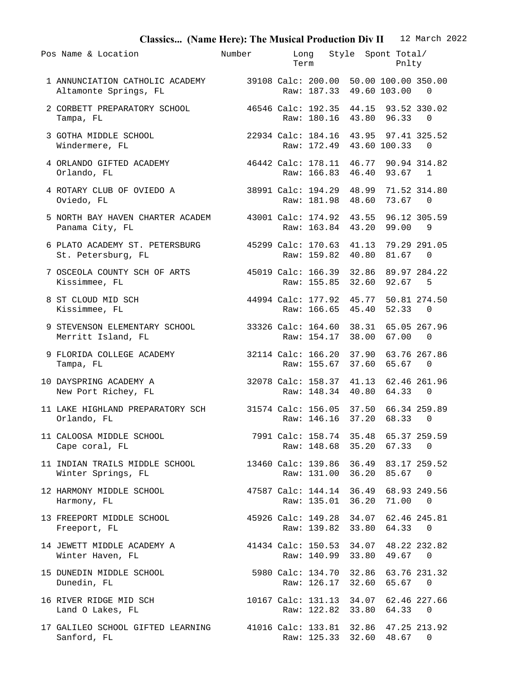| Classics (Name Here): The Musical Production Div II 12 March 2022                               |                                       |                                                                    |             |                |  |
|-------------------------------------------------------------------------------------------------|---------------------------------------|--------------------------------------------------------------------|-------------|----------------|--|
| Pos Name & Location                                                                             | Number                                | Long Style Spont Total/<br>Term                                    | Pnlty       |                |  |
| 1 ANNUNCIATION CATHOLIC ACADEMY 39108 Calc: 200.00 50.00 100.00 350.00<br>Altamonte Springs, FL |                                       | Raw: 187.33 49.60 103.00                                           |             | 0              |  |
| 2 CORBETT PREPARATORY SCHOOL<br>Tampa, FL                                                       | 46546 Calc: 192.35 44.15 93.52 330.02 | Raw: 180.16 43.80 96.33                                            |             | 0              |  |
| 3 GOTHA MIDDLE SCHOOL<br>22934 Calc: 184.16 43.95 97.41 325.52<br>Windermere, FL                |                                       | Raw: 172.49 43.60 100.33                                           |             | 0              |  |
| 4 ORLANDO GIFTED ACADEMY<br>Orlando, FL                                                         |                                       | 46442 Calc: 178.11 46.77 90.94 314.82<br>Raw: 166.83 46.40 93.67   |             | $\overline{1}$ |  |
| 4 ROTARY CLUB OF OVIEDO A<br>Oviedo, FL                                                         |                                       | 38991 Calc: 194.29 48.99 71.52 314.80<br>Raw: 181.98 48.60 73.67   |             | $\Theta$       |  |
| 5 NORTH BAY HAVEN CHARTER ACADEM 43001 Calc: 174.92 43.55 96.12 305.59<br>Panama City, FL       |                                       | Raw: 163.84 43.20 99.00                                            |             | 9              |  |
| 6 PLATO ACADEMY ST. PETERSBURG 45299 Calc: 170.63 41.13 79.29 291.05<br>St. Petersburg, FL      |                                       | Raw: 159.82 40.80 81.67                                            |             | - 0            |  |
| 7 OSCEOLA COUNTY SCH OF ARTS<br>Kissimmee, FL                                                   | 45019 Calc: 166.39 32.86 89.97 284.22 | Raw: 155.85 32.60 92.67                                            |             | -5             |  |
| 8 ST CLOUD MID SCH<br>Kissimmee, FL                                                             |                                       | 44994 Calc: 177.92 45.77 50.81 274.50<br>Raw: 166.65 45.40 52.33   |             | 0              |  |
| 9 STEVENSON ELEMENTARY SCHOOL<br>Merritt Island, FL                                             |                                       | 33326 Calc: 164.60 38.31 65.05 267.96<br>Raw: 154.17 38.00 67.00   |             | 0              |  |
| 9 FLORIDA COLLEGE ACADEMY<br>Tampa, FL                                                          |                                       | 32114 Calc: 166.20 37.90 63.76 267.86<br>Raw: 155.67               | 37.60 65.67 | 0              |  |
| 10 DAYSPRING ACADEMY A 32078 Calc: 158.37 41.13 62.46 261.96<br>New Port Richey, FL             |                                       | Raw: 148.34 40.80                                                  | 64.33       | 0              |  |
| 11 LAKE HIGHLAND PREPARATORY SCH<br>Orlando, FL                                                 |                                       | 31574 Calc: 156.05 37.50 66.34 259.89<br>Raw: 146.16 37.20 68.33 0 |             |                |  |
| 11 CALOOSA MIDDLE SCHOOL<br>Cape coral, FL                                                      |                                       | 7991 Calc: 158.74 35.48 65.37 259.59<br>Raw: 148.68 35.20 67.33    |             | $\bullet$      |  |
| 11 INDIAN TRAILS MIDDLE SCHOOL<br>Winter Springs, FL                                            |                                       | 13460 Calc: 139.86 36.49 83.17 259.52<br>Raw: 131.00               | 36.20 85.67 | 0              |  |
| 12 HARMONY MIDDLE SCHOOL<br>Harmony, FL                                                         |                                       | 47587 Calc: 144.14 36.49 68.93 249.56<br>Raw: 135.01 36.20 71.00   |             | 0              |  |
| 13 FREEPORT MIDDLE SCHOOL<br>Freeport, FL                                                       |                                       | 45926 Calc: 149.28 34.07 62.46 245.81<br>Raw: 139.82 33.80 64.33   |             | $\bullet$      |  |
| 14 JEWETT MIDDLE ACADEMY A<br>Winter Haven, FL                                                  |                                       | 41434 Calc: 150.53 34.07 48.22 232.82<br>Raw: 140.99               | 33.80 49.67 | 0              |  |
| 15 DUNEDIN MIDDLE SCHOOL<br>Dunedin, FL                                                         |                                       | 5980 Calc: 134.70 32.86 63.76 231.32<br>Raw: 126.17 32.60 65.67    |             | 0              |  |
| 16 RIVER RIDGE MID SCH<br>Land O Lakes, FL                                                      |                                       | 10167 Calc: 131.13 34.07 62.46 227.66<br>Raw: 122.82 33.80 64.33   |             | $\Theta$       |  |
| 17 GALILEO SCHOOL GIFTED LEARNING<br>Sanford, FL                                                | 41016 Calc: 133.81 32.86 47.25 213.92 | Raw: 125.33 32.60 48.67                                            |             | 0              |  |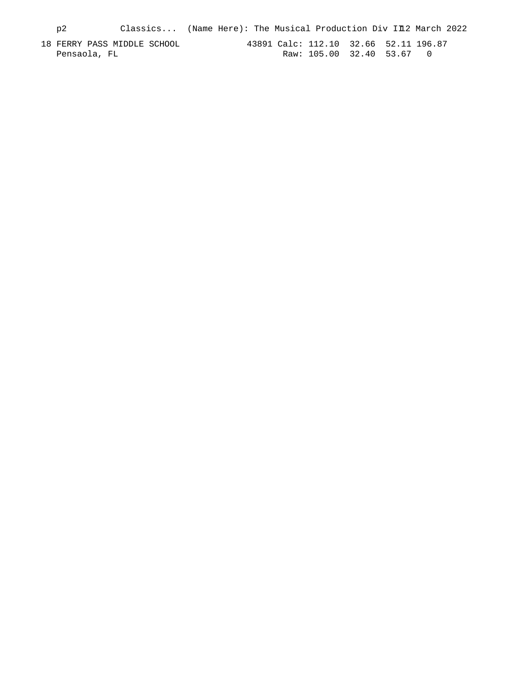p2 Classics... (Name Here): The Musical Production Div II2 March 2022 18 FERRY PASS MIDDLE SCHOOL 43891 Calc: 112.10 32.66 52.11 196.87 Pensaola, FL Raw: 105.00 32.40 53.67 0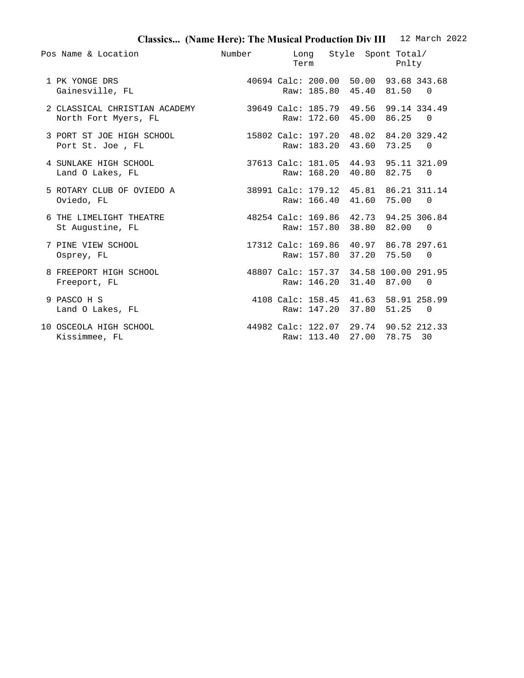## **Classics... (Name Here): The Musical Production Div III** 12 March 2022

| Pos Name & Location                                                                         | Number                                | Long Style Spont Total/<br><b>Term</b>                              | Pnlty |     |
|---------------------------------------------------------------------------------------------|---------------------------------------|---------------------------------------------------------------------|-------|-----|
| 1 PK YONGE DRS<br>Gainesville, FL                                                           |                                       | 40694 Calc: 200.00 50.00 93.68 343.68<br>Raw: 185.80 45.40 81.50 0  |       |     |
| 2 CLASSICAL CHRISTIAN ACADEMY 39649 Calc: 185.79 49.56 99.14 334.49<br>North Fort Myers, FL |                                       | Raw: 172.60 45.00 86.25                                             |       | - 0 |
| 3 PORT ST JOE HIGH SCHOOL<br>Port St. Joe, FL                                               |                                       | 15802 Calc: 197.20 48.02 84.20 329.42<br>Raw: 183.20 43.60 73.25    |       | - 0 |
| 4 SUNLAKE HIGH SCHOOL<br>Land O Lakes, FL                                                   |                                       | 37613 Calc: 181.05 44.93 95.11 321.09<br>Raw: 168.20 40.80 82.75    |       | - 0 |
| 5 ROTARY CLUB OF OVIEDO A<br>Oviedo, FL                                                     |                                       | 38991 Calc: 179.12 45.81 86.21 311.14<br>Raw: 166.40 41.60 75.00    |       | - 0 |
| 6 THE LIMELIGHT THEATRE<br>St Augustine, FL                                                 | 48254 Calc: 169.86 42.73 94.25 306.84 | Raw: 157.80 38.80 82.00                                             |       | - 0 |
| 7 PINE VIEW SCHOOL<br>Osprey, FL                                                            |                                       | 17312 Calc: 169.86 40.97 86.78 297.61<br>Raw: 157.80 37.20 75.50    |       | - 0 |
| 8 FREEPORT HIGH SCHOOL<br>Freeport, FL                                                      |                                       | 48807 Calc: 157.37 34.58 100.00 291.95<br>Raw: 146.20 31.40 87.00   |       | - 0 |
| 9 PASCO H S<br>Land O Lakes, FL                                                             |                                       | 4108 Calc: 158.45 41.63 58.91 258.99<br>Raw: 147.20 37.80 51.25     |       | - 0 |
| 10 OSCEOLA HIGH SCHOOL<br>Kissimmee, FL                                                     |                                       | 44982 Calc: 122.07 29.74 90.52 212.33<br>Raw: 113.40 27.00 78.75 30 |       |     |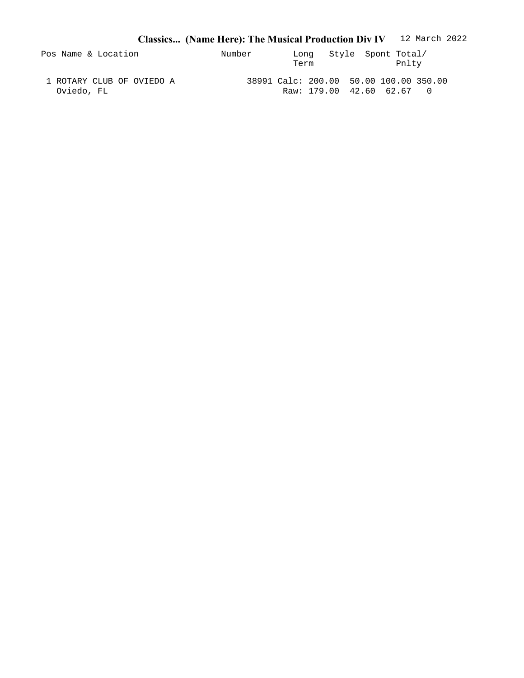|                                         | Classics (Name Here): The Musical Production Div IV 12 March 2022 |                                                                     |       |
|-----------------------------------------|-------------------------------------------------------------------|---------------------------------------------------------------------|-------|
| Pos Name & Location                     | Number                                                            | Long Style Spont Total/<br>Term                                     | Pnltv |
| 1 ROTARY CLUB OF OVIEDO A<br>Oviedo, FL |                                                                   | 38991 Calc: 200.00 50.00 100.00 350.00<br>Raw: 179.00 42.60 62.67 0 |       |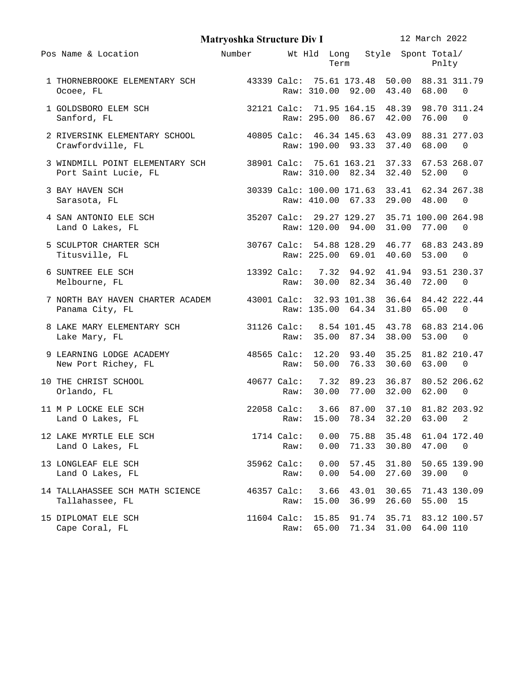|                                                                                                     | <b>Matryoshka Structure Div I</b>           |                                                    |                |              |                |                | 12 March 2022                                                 |                          |  |
|-----------------------------------------------------------------------------------------------------|---------------------------------------------|----------------------------------------------------|----------------|--------------|----------------|----------------|---------------------------------------------------------------|--------------------------|--|
| Pos Name & Location                                                                                 | Number                                      |                                                    |                | Term         |                |                | Wt Hld Long Style Spont Total/<br>Pnlty                       |                          |  |
| 1 THORNEBROOKE ELEMENTARY SCH<br>Ocoee, FL                                                          | 43339 Calc: 75.61 173.48 50.00 88.31 311.79 |                                                    |                |              |                |                | Raw: 310.00 92.00 43.40 68.00                                 | - 0                      |  |
| 1 GOLDSBORO ELEM SCH<br>Sanford, FL                                                                 |                                             | 32121 Calc: 71.95 164.15 48.39 98.70 311.24        |                |              |                |                | Raw: 295.00 86.67 42.00 76.00                                 | $\Theta$                 |  |
| 2 RIVERSINK ELEMENTARY SCHOOL 40805 Calc: 46.34 145.63 43.09 88.31 277.03<br>Crawfordville, FL      |                                             |                                                    |                |              |                |                | Raw: 190.00 93.33 37.40 68.00                                 | $\bullet$                |  |
| 3 WINDMILL POINT ELEMENTARY SCH 38901 Calc: 75.61 163.21 37.33 67.53 268.07<br>Port Saint Lucie, FL |                                             |                                                    |                |              |                |                | Raw: 310.00 82.34 32.40 52.00                                 | - 0                      |  |
| 3 BAY HAVEN SCH<br>Sarasota, FL                                                                     |                                             | 30339 Calc: 100.00 171.63 33.41 62.34 267.38       |                |              |                |                | Raw: 410.00 67.33 29.00 48.00                                 | - 0                      |  |
| 4 SAN ANTONIO ELE SCH<br>Land O Lakes, FL                                                           |                                             | 35207 Calc: 29.27 129.27 35.71 100.00 264.98       |                |              |                |                | Raw: 120.00 94.00 31.00 77.00                                 | - 0                      |  |
| 5 SCULPTOR CHARTER SCH<br>Titusville, FL                                                            |                                             | 30767 Calc: 54.88 128.29 46.77 68.83 243.89        |                |              |                |                | Raw: 225.00 69.01 40.60 53.00                                 | - 0                      |  |
| 6 SUNTREE ELE SCH<br>Melbourne, FL                                                                  |                                             | 13392 Calc: 7.32 94.92 41.94 93.51 230.37<br>Raw:  |                |              |                |                | 30.00 82.34 36.40 72.00                                       | - 0                      |  |
| 7 NORTH BAY HAVEN CHARTER ACADEM<br>Panama City, FL                                                 | 43001 Calc: 32.93 101.38 36.64 84.42 222.44 |                                                    |                |              |                |                | Raw: 135.00 64.34 31.80 65.00                                 | - 0                      |  |
| 8 LAKE MARY ELEMENTARY SCH<br>Lake Mary, FL                                                         |                                             | 31126 Calc: 8.54 101.45 43.78 68.83 214.06<br>Raw: |                |              |                |                | 35.00 87.34 38.00 53.00                                       | $\bullet$                |  |
| 9 LEARNING LODGE ACADEMY<br>New Port Richey, FL                                                     |                                             | 48565 Calc: 12.20 93.40 35.25 81.82 210.47<br>Raw: | 50.00          |              |                |                | 76.33 30.60 63.00                                             | - 0                      |  |
| 10 THE CHRIST SCHOOL<br>Orlando, FL                                                                 |                                             | 40677 Calc: 7.32 89.23 36.87 80.52 206.62<br>Raw:  |                |              |                |                | 30.00 77.00 32.00 62.00                                       | - 0                      |  |
| 11 M P LOCKE ELE SCH<br>Land O Lakes, FL                                                            |                                             | 22058 Calc:                                        |                |              |                |                | 3.66 87.00 37.10 81.82 203.92<br>Raw: 15.00 78.34 32.20 63.00 | $\overline{\phantom{a}}$ |  |
| 12 LAKE MYRTLE ELE SCH<br>Land O Lakes, FL                                                          |                                             | 1714 Calc:<br>Raw:                                 | 0.00           | 0.00         |                |                | 75.88 35.48 61.04 172.40<br>71.33 30.80 47.00                 | $\Theta$                 |  |
| 13 LONGLEAF ELE SCH<br>Land O Lakes, FL                                                             |                                             | 35962 Calc:<br>Raw:                                |                | 0.00<br>0.00 | 54.00          |                | 57.45 31.80 50.65 139.90<br>27.60 39.00                       | $\Theta$                 |  |
| 14 TALLAHASSEE SCH MATH SCIENCE<br>Tallahassee, FL                                                  |                                             | 46357 Calc:<br>Raw:                                | 15.00          | 3.66         | 43.01<br>36.99 | 30.65<br>26.60 | 71.43 130.09<br>55.00 15                                      |                          |  |
| 15 DIPLOMAT ELE SCH<br>Cape Coral, FL                                                               |                                             | 11604 Calc:<br>Raw:                                | 15.85<br>65.00 |              |                |                | 91.74 35.71 83.12 100.57<br>71.34 31.00 64.00 110             |                          |  |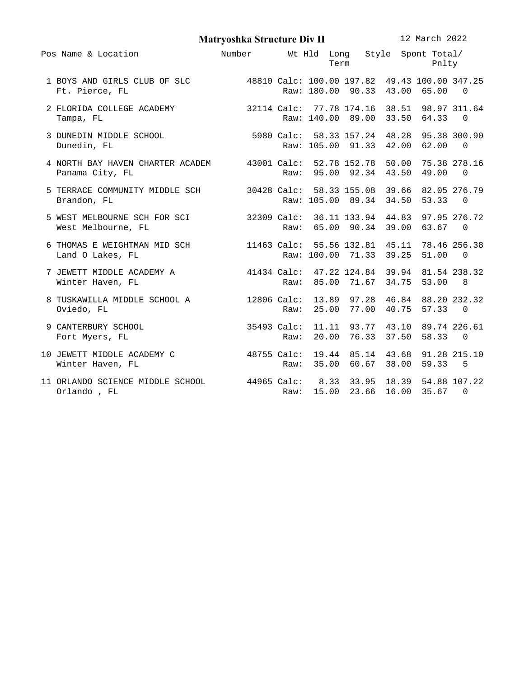|                                                                                                                       | Matryoshka Structure Div II |      |       |             |                                                       | 12 March 2022 |     |
|-----------------------------------------------------------------------------------------------------------------------|-----------------------------|------|-------|-------------|-------------------------------------------------------|---------------|-----|
| Pos Name & Location                                                                                                   | Number                      |      |       | Term        | Wt Hld Long Style Spont Total/                        | Pnlty         |     |
| 1 BOYS AND GIRLS CLUB OF SLC 48810 Calc: 100.00 197.82 49.43 100.00 347.25<br>Ft. Pierce, FL                          |                             |      |       |             | Raw: 180.00 90.33 43.00 65.00 0                       |               |     |
| 2 FLORIDA COLLEGE ACADEMY 32114 Calc: 77.78 174.16 38.51 98.97 311.64<br>Tampa, FL                                    |                             |      |       |             | Raw: 140.00 89.00 33.50 64.33 0                       |               |     |
| 3 DUNEDIN MIDDLE SCHOOL 5980 Calc: 58.33 157.24 48.28 95.38 300.90<br>Dunedin, FL                                     |                             |      |       |             | Raw: 105.00 91.33 42.00 62.00 0                       |               |     |
| 4 NORTH BAY HAVEN CHARTER ACADEM 43001 Calc: 52.78 152.78 50.00 75.38 278.16<br>Panama City, FL                       |                             |      |       |             | Raw: 95.00 92.34 43.50 49.00                          |               | - 0 |
| 5 TERRACE COMMUNITY MIDDLE SCH 30428 Calc: 58.33 155.08 39.66 82.05 276.79<br>Brandon, FL                             |                             |      |       |             | Raw: 105.00 89.34 34.50 53.33 0                       |               |     |
| 5 WEST MELBOURNE SCH FOR SCI 32309 Calc: 36.11 133.94 44.83 97.95 276.72<br>West Melbourne, FL                        |                             | Raw: |       |             | 65.00 90.34 39.00 63.67 0                             |               |     |
| 6 THOMAS E WEIGHTMAN MID SCH<br>11463 Calc: 55.56 132.81 45.11 78.46 256.38<br>20.25 51.00 0 12kg<br>Land O Lakes, FL |                             |      |       |             | Raw: 100.00 71.33 39.25 51.00 0                       |               |     |
| 7 JEWETT MIDDLE ACADEMY A 41434 Calc: 47.22 124.84 39.94 81.54 238.32<br>Winter Haven, FL                             |                             | Raw: |       |             | 85.00 71.67 34.75 53.00                               |               | - 8 |
| 8 TUSKAWILLA MIDDLE SCHOOL A 12806 Calc: 13.89 97.28 46.84 88.20 232.32<br>Oviedo, FL                                 |                             | Raw: |       |             | 25.00 77.00 40.75 57.33 0                             |               |     |
| 9 CANTERBURY SCHOOL<br>Fort Myers, FL                                                                                 | 35493 Calc:                 | Raw: | 20.00 |             | 11.11 93.77 43.10 89.74 226.61<br>76.33 37.50 58.33 0 |               |     |
| 10 JEWETT MIDDLE ACADEMY C                 48755 Calc: 19.44  85.14  43.68  91.28 215.10<br>Winter Haven, FL          |                             |      |       |             | Raw: 35.00 60.67 38.00 59.33 5                        |               |     |
| 11 ORLANDO SCIENCE MIDDLE SCHOOL        44965 Calc:   8.33 33.95 18.39 54.88 107.22<br>Orlando, FL                    |                             | Raw: |       | 15.00 23.66 |                                                       | 16.00 35.67 0 |     |
|                                                                                                                       |                             |      |       |             |                                                       |               |     |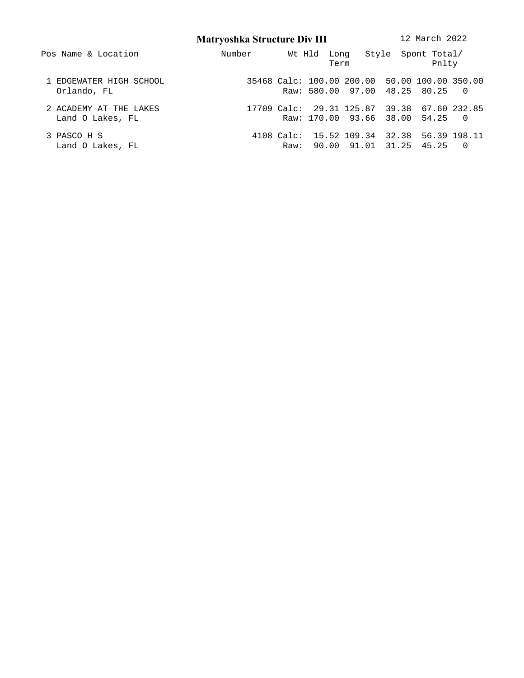**Matryoshka Structure Div III** 12 March 2022 Pos Name & Location **Number** Wt Hld Long Style Spont Total/ Term Pnlty 1 EDGEWATER HIGH SCHOOL 35468 Calc: 100.00 200.00 50.00 100.00 350.00 Orlando, FL Raw: 580.00 97.00 48.25 80.25 0 2 ACADEMY AT THE LAKES 17709 Calc: 29.31 125.87 39.38 67.60 232.85 Land O Lakes, FL Raw: 170.00 93.66 38.00 54.25 0 3 PASCO H S 4108 Calc: 15.52 109.34 32.38 56.39 198.11 Land O Lakes, FL Raw: 90.00 91.01 31.25 45.25 0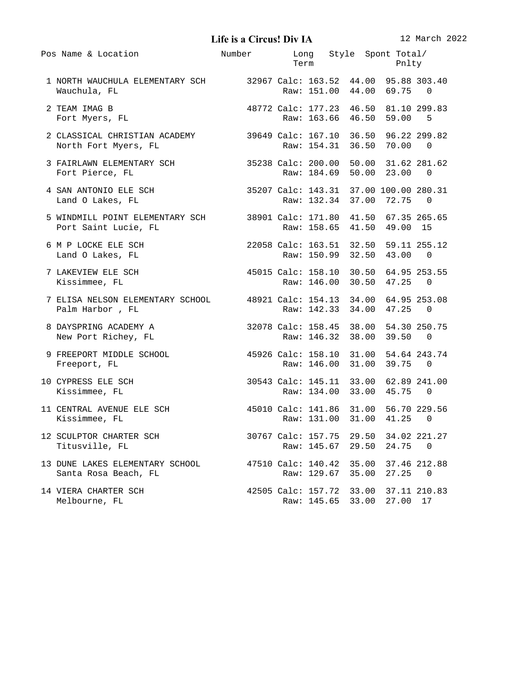**Life isa Circus! Div IA** 12 March 2022

| Pos Name & Location                                                                                  | Number                                | Long Style Spont Total/<br>Term Pnlty                              |                |          |                   |
|------------------------------------------------------------------------------------------------------|---------------------------------------|--------------------------------------------------------------------|----------------|----------|-------------------|
| 1 NORTH WAUCHULA ELEMENTARY SCH 32967 Calc: 163.52 44.00 95.88 303.40<br>Wauchula, FL                |                                       | Raw: 151.00 44.00 69.75                                            |                |          | - 0               |
| 2 TEAM IMAG B<br>Fort Myers, FL                                                                      | 48772 Calc: 177.23 46.50 81.10 299.83 | Raw: 163.66 46.50 59.00                                            |                |          | - 5               |
| 2 CLASSICAL CHRISTIAN ACADEMY 39649 Calc: 167.10 36.50 96.22 299.82<br>North Fort Myers, FL          |                                       | Raw: 154.31 36.50 70.00 0                                          |                |          |                   |
| 3 FAIRLAWN ELEMENTARY SCH 35238 Calc: 200.00 50.00 31.62 281.62<br>Fort Pierce, FL                   |                                       | Raw: 184.69 50.00 23.00                                            |                |          | 0                 |
| 4 SAN ANTONIO ELE SCH 35207 Calc: 143.31 37.00 100.00 280.31<br>Land O Lakes, FL                     |                                       | Raw: 132.34 37.00 72.75                                            |                |          | - 0               |
| 5 WINDMILL POINT ELEMENTARY SCH 38901 Calc: 171.80 41.50 67.35 265.65<br>Port Saint Lucie, FL        |                                       | Raw: 158.65 41.50 49.00 15                                         |                |          |                   |
| 6 M P LOCKE ELE SCH<br>Land O Lakes, FL                                                              | 22058 Calc: 163.51 32.50 59.11 255.12 | Raw: 150.99 32.50 43.00                                            |                |          | 0                 |
| 7 LAKEVIEW ELE SCH<br>Kissimmee, FL                                                                  | 45015 Calc: 158.10 30.50 64.95 253.55 | Raw: 146.00 30.50 47.25                                            |                |          | - 0               |
| 7 ELISA NELSON ELEMENTARY SCHOOL 48921 Calc: 154.13 34.00 64.95 253.08<br>Palm Harbor, FL            |                                       | Raw: 142.33 34.00 47.25 0                                          |                |          |                   |
| 32078 Calc: 158.45 38.00 54.30 250.75<br>8 DAYSPRING ACADEMY A<br>New Port Richey, FL                |                                       | Raw: 146.32 38.00 39.50                                            |                |          | - 0               |
| 9 FREEPORT MIDDLE SCHOOL 45926 Calc: 158.10 31.00 54.64 243.74<br>Freeport, FL                       |                                       | Raw: 146.00 31.00                                                  |                | 39.75    | - 0               |
| <b>10 CYPRESS ELE SCH</b><br>Kissimmee, FL                                                           |                                       | 30543 Calc: 145.11 33.00 62.89 241.00<br>Raw: 134.00 33.00 45.75 0 |                |          |                   |
| 11 CENTRAL AVENUE ELE SCH                   45010 Calc: 141.86  31.00  56.70 229.56<br>Kissimmee, FL |                                       | Raw: 131.00 31.00 41.25                                            |                |          | 0                 |
| 12 SCULPTOR CHARTER SCH<br>Titusville, FL                                                            |                                       | 30767 Calc: 157.75<br>Raw: 145.67                                  | 29.50<br>29.50 | 24.75    | 34.02 221.27<br>0 |
| 13 DUNE LAKES ELEMENTARY SCHOOL<br>Santa Rosa Beach, FL                                              |                                       | 47510 Calc: 140.42 35.00<br>Raw: 129.67                            | 35.00          | 27.25    | 37.46 212.88<br>0 |
| 14 VIERA CHARTER SCH<br>Melbourne, FL                                                                |                                       | 42505 Calc: 157.72 33.00<br>Raw: 145.65 33.00                      |                | 27.00 17 | 37.11 210.83      |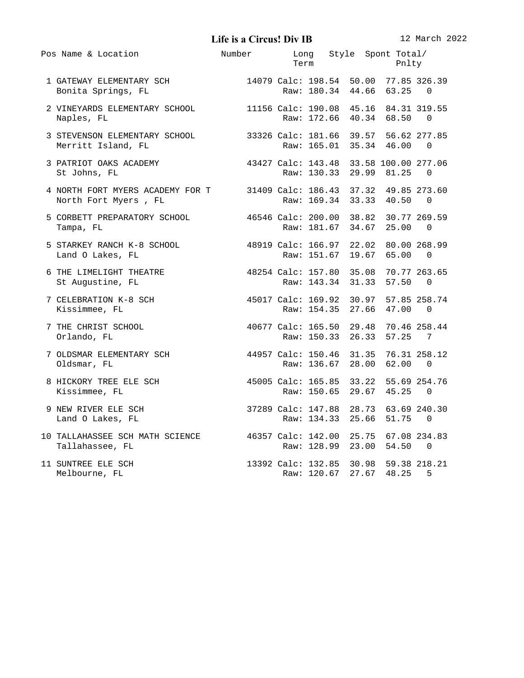**Life is a Circus! Div IB** 12 March 2022

| Pos Name & Location                                                                                                 | Number Long Style Spont Total/        |  | <b>Term</b> and the state of the state of the state of the state of the state of the state of the state of the state of the state of the state of the state of the state of the state of the state of the state of the state of the | Pnlty                   |                                            |
|---------------------------------------------------------------------------------------------------------------------|---------------------------------------|--|-------------------------------------------------------------------------------------------------------------------------------------------------------------------------------------------------------------------------------------|-------------------------|--------------------------------------------|
|                                                                                                                     |                                       |  |                                                                                                                                                                                                                                     |                         |                                            |
| 2 VINEYARDS ELEMENTARY SCHOOL 11156 Calc: 190.08 45.16 84.31 319.55<br>Naples, FL                                   |                                       |  |                                                                                                                                                                                                                                     | Raw: 172.66 40.34 68.50 | 0                                          |
| 3 STEVENSON ELEMENTARY SCHOOL 33326 Calc: 181.66 39.57 56.62 277.85<br>Merritt Island, FL                           |                                       |  |                                                                                                                                                                                                                                     | Raw: 165.01 35.34 46.00 | - 0                                        |
| 3 PATRIOT OAKS ACADEMY 43427 Calc: 143.48 33.58 100.00 277.06<br>St Johns, FL                                       |                                       |  |                                                                                                                                                                                                                                     | Raw: 130.33 29.99 81.25 | - 0                                        |
|                                                                                                                     |                                       |  |                                                                                                                                                                                                                                     |                         |                                            |
| 5 CORBETT PREPARATORY SCHOOL 46546 Calc: 200.00 38.82 30.77 269.59<br>Tampa, FL                                     |                                       |  |                                                                                                                                                                                                                                     | Raw: 181.67 34.67 25.00 | - 0                                        |
| 5 STARKEY RANCH K-8 SCHOOL 48919 Calc: 166.97 22.02 80.00 268.99<br>Land O Lakes, FL                                |                                       |  |                                                                                                                                                                                                                                     | Raw: 151.67 19.67 65.00 | 0                                          |
| 6 THE LIMELIGHT THEATRE 48254 Calc: 157.80 35.08 70.77 263.65<br>St Augustine, FL                                   |                                       |  |                                                                                                                                                                                                                                     | Raw: 143.34 31.33 57.50 | - 0                                        |
| 7 CELEBRATION K-8 SCH 45017 Calc: 169.92 30.97 57.85 258.74<br>Kissimmee, FL                                        |                                       |  |                                                                                                                                                                                                                                     | Raw: 154.35 27.66 47.00 | - 0                                        |
| 40677 Calc: 165.50 29.48 70.46 258.44<br>7 THE CHRIST SCHOOL<br>Orlando, FL                                         |                                       |  |                                                                                                                                                                                                                                     | Raw: 150.33 26.33 57.25 | $\overline{7}$                             |
| 7 OLDSMAR ELEMENTARY SCH 44957 Calc: 150.46 31.35 76.31 258.12<br>Oldsmar, FL                                       |                                       |  |                                                                                                                                                                                                                                     | Raw: 136.67 28.00 62.00 | - 0                                        |
| 8 HICKORY TREE ELE SCH<br>Kissimmee, FL                                                                             | 45005 Calc: 165.85 33.22 55.69 254.76 |  |                                                                                                                                                                                                                                     | Raw: 150.65 29.67 45.25 | - 0                                        |
| 37289 Calc: 147.88  28.73  63.69 240.30<br>Raw: 134.33  25.66  51.75   0<br>9 NEW RIVER ELE SCH<br>Land O Lakes, FL |                                       |  |                                                                                                                                                                                                                                     |                         |                                            |
| 10 TALLAHASSEE SCH MATH SCIENCE 46357 Calc: 142.00 25.75 67.08 234.83<br>Tallahassee, FL                            |                                       |  |                                                                                                                                                                                                                                     | Raw: 128.99 23.00 54.50 | - 0                                        |
| 11 SUNTREE ELE SCH<br>Melbourne, FL                                                                                 |                                       |  |                                                                                                                                                                                                                                     | Raw: 120.67 27.67 48.25 | 13392 Calc: 132.85 30.98 59.38 218.21<br>5 |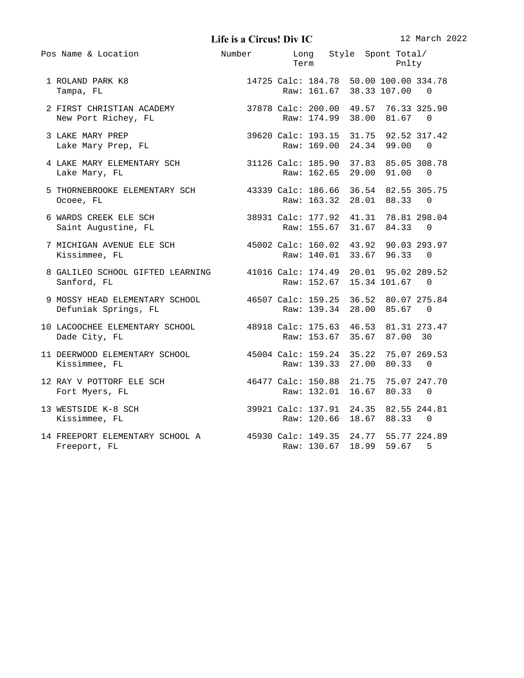**Life isa Circus! Div IC** 12 March 2022

|  | Pos Name & Location                                                                          | Number                                | Term        |  | Long Style Spont Total/<br>Pnlty                                   |          |  |
|--|----------------------------------------------------------------------------------------------|---------------------------------------|-------------|--|--------------------------------------------------------------------|----------|--|
|  | 1 ROLAND PARK K8<br>Tampa, FL                                                                |                                       |             |  | 14725 Calc: 184.78 50.00 100.00 334.78<br>Raw: 161.67 38.33 107.00 | $\Theta$ |  |
|  | 2 FIRST CHRISTIAN ACADEMY 37878 Calc: 200.00 49.57 76.33 325.90<br>New Port Richey, FL       |                                       | Raw: 174.99 |  | 38.00 81.67                                                        | $\Theta$ |  |
|  | 3 LAKE MARY PREP<br>Lake Mary Prep, FL                                                       |                                       |             |  | 39620 Calc: 193.15 31.75 92.52 317.42<br>Raw: 169.00 24.34 99.00   | $\Theta$ |  |
|  | 4 LAKE MARY ELEMENTARY SCH 31126 Calc: 185.90 37.83 85.05 308.78<br>Lake Mary, FL            |                                       |             |  | Raw: 162.65 29.00 91.00                                            | $\Theta$ |  |
|  | 5 THORNEBROOKE ELEMENTARY SCH 43339 Calc: 186.66 36.54 82.55 305.75<br>Ocoee, FL             |                                       |             |  | Raw: 163.32 28.01 88.33                                            | $\Theta$ |  |
|  | 6 WARDS CREEK ELE SCH<br>Saint Augustine, FL                                                 | 38931 Calc: 177.92 41.31 78.81 298.04 |             |  | Raw: 155.67 31.67 84.33                                            | 0        |  |
|  | 7 MICHIGAN AVENUE ELE SCH (45002 Calc: 160.02 43.92 90.03 293.97<br>Kissimmee, FL            |                                       |             |  | Raw: 140.01 33.67 96.33                                            | $\Theta$ |  |
|  | 8 GALILEO SCHOOL GIFTED LEARNING 41016 Calc: 174.49 20.01 95.02 289.52<br>Sanford, FL        |                                       | Raw: 152.67 |  | 15.34 101.67                                                       | 0        |  |
|  | 9 MOSSY HEAD ELEMENTARY SCHOOL 46507 Calc: 159.25 36.52 80.07 275.84<br>Defuniak Springs, FL |                                       |             |  | Raw: 139.34 28.00 85.67 0                                          |          |  |
|  | 10 LACOOCHEE ELEMENTARY SCHOOL 48918 Calc: 175.63 46.53 81.31 273.47<br>Dade City, FL        |                                       |             |  | Raw: 153.67 35.67 87.00 30                                         |          |  |
|  | 11 DEERWOOD ELEMENTARY SCHOOL 45004 Calc: 159.24 35.22 75.07 269.53<br>Kissimmee, FL         |                                       |             |  | Raw: 139.33 27.00 80.33                                            | 0        |  |
|  | 12 RAY V POTTORF ELE SCH<br>Fort Myers, FL                                                   | 46477 Calc: 150.88 21.75 75.07 247.70 |             |  | Raw: 132.01 16.67 80.33                                            | $\Theta$ |  |
|  | 39921 Calc: 137.91 24.35 82.55 244.81<br>13 WESTSIDE K-8 SCH<br>Kissimmee, FL                |                                       |             |  | Raw: 120.66 18.67 88.33                                            | $\Theta$ |  |
|  | 14 FREEPORT ELEMENTARY SCHOOL A 45930 Calc: 149.35 24.77 55.77 224.89<br>Freeport, FL        |                                       |             |  | Raw: 130.67 18.99 59.67                                            | 5        |  |
|  |                                                                                              |                                       |             |  |                                                                    |          |  |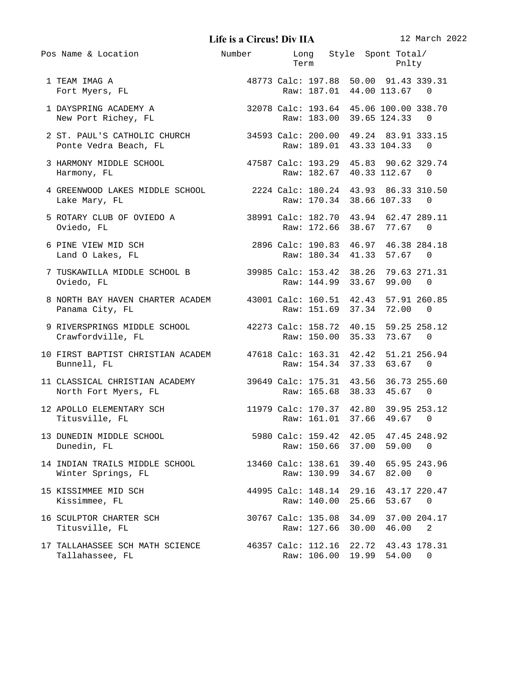**Life is a Circus! Div IIA** 12 March 2022

| Pos Name & Location                                                                          | Number Long Style Spont Total/        |                                   | <b>Term</b>                                                         | Pnlty |                          |
|----------------------------------------------------------------------------------------------|---------------------------------------|-----------------------------------|---------------------------------------------------------------------|-------|--------------------------|
| 1 TEAM IMAG A<br>Fort Myers, FL                                                              |                                       |                                   | 48773 Calc: 197.88 50.00 91.43 339.31<br>Raw: 187.01 44.00 113.67 0 |       |                          |
| 1 DAYSPRING ACADEMY A 22078 Calc: 193.64 45.06 100.00 338.70<br>New Port Richey, FL          |                                       |                                   | Raw: 183.00 39.65 124.33                                            |       | 0                        |
|                                                                                              |                                       |                                   |                                                                     |       |                          |
| 3 HARMONY MIDDLE SCHOOL<br>Harmony, FL                                                       | 47587 Calc: 193.29 45.83 90.62 329.74 |                                   | Raw: 182.67 40.33 112.67                                            |       | - 0                      |
| 4 GREENWOOD LAKES MIDDLE SCHOOL 2224 Calc: 180.24 43.93 86.33 310.50<br>Lake Mary, FL        |                                       |                                   | Raw: 170.34 38.66 107.33                                            |       | 0                        |
| 5 ROTARY CLUB OF OVIEDO A<br>Oviedo, FL                                                      |                                       |                                   | 38991 Calc: 182.70 43.94 62.47 289.11<br>Raw: 172.66 38.67 77.67    |       | - 0                      |
| 2896 Calc: 190.83 46.97 46.38 284.18<br>6 PINE VIEW MID SCH<br>Land O Lakes, FL              |                                       |                                   | Raw: 180.34 41.33 57.67                                             |       | - 0                      |
| 7 TUSKAWILLA MIDDLE SCHOOL B 39985 Calc: 153.42 38.26 79.63 271.31<br>Oviedo, FL             |                                       |                                   | Raw: 144.99 33.67 99.00                                             |       | $\Theta$                 |
| 8 NORTH BAY HAVEN CHARTER ACADEM 43001 Calc: 160.51 42.43 57.91 260.85<br>Panama City, FL    |                                       |                                   | Raw: 151.69 37.34 72.00                                             |       | 0                        |
| 9 RIVERSPRINGS MIDDLE SCHOOL 42273 Calc: 158.72 40.15 59.25 258.12<br>Crawfordville, FL      |                                       |                                   | Raw: 150.00 35.33 73.67                                             |       | - 0                      |
| 10 FIRST BAPTIST CHRISTIAN ACADEM 47618 Calc: 163.31 42.42 51.21 256.94<br>Bunnell, FL       |                                       |                                   | Raw: 154.34 37.33 63.67                                             |       | - 0                      |
| 11 CLASSICAL CHRISTIAN ACADEMY 39649 Calc: 175.31 43.56 36.73 255.60<br>North Fort Myers, FL |                                       |                                   | Raw: 165.68 38.33 45.67 0                                           |       |                          |
| 12 APOLLO ELEMENTARY SCH<br>Titusville, FL                                                   |                                       |                                   | 11979 Calc: 170.37 42.80 39.95 253.12<br>Raw: 161.01 37.66 49.67 0  |       |                          |
| 13 DUNEDIN MIDDLE SCHOOL<br>Dunedin, FL                                                      |                                       | Raw: 150.66                       | 5980 Calc: 159.42 42.05 47.45 248.92<br>37.00                       | 59.00 | 0                        |
| 14 INDIAN TRAILS MIDDLE SCHOOL<br>Winter Springs, FL                                         |                                       | Raw: 130.99                       | 13460 Calc: 138.61 39.40<br>34.67                                   | 82.00 | 65.95 243.96<br>0        |
| 15 KISSIMMEE MID SCH<br>Kissimmee, FL                                                        |                                       | Raw: 140.00                       | 44995 Calc: 148.14 29.16 43.17 220.47<br>25.66                      | 53.67 | - 0                      |
| <b>16 SCULPTOR CHARTER SCH</b><br>Titusville, FL                                             |                                       | 30767 Calc: 135.08<br>Raw: 127.66 | 34.09<br>30.00                                                      | 46.00 | 37.00 204.17<br>2        |
| 17 TALLAHASSEE SCH MATH SCIENCE<br>Tallahassee, FL                                           |                                       |                                   | 46357 Calc: 112.16 22.72<br>Raw: 106.00 19.99                       | 54.00 | 43.43 178.31<br>$\Theta$ |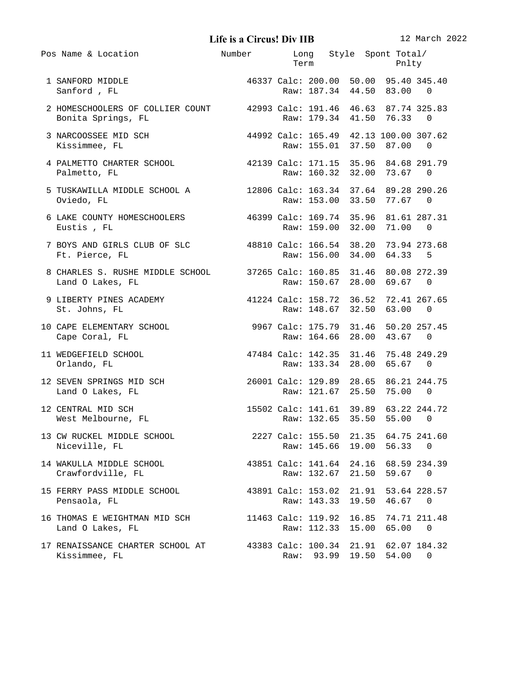**Life isa Circus! Div IIB** 12 March 2022

| Pos Name & Location                                                                                                         | Number Long Style Spont Total/ | Term Pnlty                                                         |       |       |     |
|-----------------------------------------------------------------------------------------------------------------------------|--------------------------------|--------------------------------------------------------------------|-------|-------|-----|
| 46337 Calc: 200.00 50.00 95.40 345.40<br>1 SANFORD MIDDLE<br>Sanford, FL                                                    |                                | Raw: 187.34 44.50 83.00 0                                          |       |       |     |
| 2 HOMESCHOOLERS OF COLLIER COUNT 42993 Calc: 191.46 46.63 87.74 325.83<br>Bonita Springs, FL 8001 Raw: 179.34 41.50 76.33 0 |                                |                                                                    |       |       |     |
| 44992 Calc: 165.49  42.13 100.00 307.62<br>Raw: 155.01  37.50  87.00  0<br>3 NARCOOSSEE MID SCH<br>Kissimmee, FL            |                                |                                                                    |       |       |     |
| 4 PALMETTO CHARTER SCHOOL 42139 Calc: 171.15 35.96 84.68 291.79<br>Palmetto, FL                                             |                                | Raw: 160.32 32.00 73.67 0                                          |       |       |     |
| 5 TUSKAWILLA MIDDLE SCHOOL A 12806 Calc: 163.34 37.64 89.28 290.26<br>Oviedo, FL                                            |                                | Raw: 153.00 33.50 77.67 0                                          |       |       |     |
| 6 LAKE COUNTY HOMESCHOOLERS 46399 Calc: 169.74 35.96 81.61 287.31<br>Eustis, FL                                             |                                | Raw: 159.00 32.00 71.00                                            |       |       | - 0 |
| 7 BOYS AND GIRLS CLUB OF SLC 48810 Calc: 166.54 38.20 73.94 273.68<br>Ft. Pierce, FL                                        |                                | Raw: 156.00 34.00 64.33                                            |       |       | - 5 |
| 8 CHARLES S. RUSHE MIDDLE SCHOOL 37265 Calc: 160.85 31.46 80.08 272.39<br>Land O Lakes, FL                                  |                                | Raw: 150.67 28.00 69.67 0                                          |       |       |     |
| 9 LIBERTY PINES ACADEMY 41224 Calc: 158.72 36.52 72.41 267.65<br>St. Johns, FL                                              |                                | Raw: 148.67 32.50 63.00                                            |       |       | - 0 |
| 10 CAPE ELEMENTARY SCHOOL 3967 Calc: 175.79 31.46 50.20 257.45<br>Cape Coral, FL                                            |                                | Raw: 164.66 28.00 43.67 0                                          |       |       |     |
| 11 WEDGEFIELD SCHOOL                           47484 Calc: 142.35 31.46 75.48 249.29<br>Orlando, FL                         |                                | Raw: 133.34 28.00 65.67 0                                          |       |       |     |
| 12 SEVEN SPRINGS MID SCH 26001 Calc: 129.89 28.65 86.21 244.75<br>Land O Lakes, FL                                          |                                | Raw: 121.67 25.50 75.00 0                                          |       |       |     |
| 12 CENTRAL MID SCH<br>West Melbourne, FL                                                                                    |                                | 15502 Calc: 141.61 39.89 63.22 244.72<br>Raw: 132.65 35.50 55.00 0 |       |       |     |
| 13 CW RUCKEL MIDDLE SCHOOL                           2227 Calc: 155.50   21.35   64.75  241.60<br>Niceville, FL             |                                | Raw: 145.66                                                        | 19.00 | 56.33 | 0   |
| 14 WAKULLA MIDDLE SCHOOL<br>Crawfordville, FL                                                                               |                                | 43851 Calc: 141.64 24.16 68.59 234.39<br>Raw: 132.67 21.50 59.67   |       |       | - 0 |
| 15 FERRY PASS MIDDLE SCHOOL<br>Pensaola, FL                                                                                 |                                | 43891 Calc: 153.02 21.91 53.64 228.57<br>Raw: 143.33 19.50 46.67 0 |       |       |     |
| 16 THOMAS E WEIGHTMAN MID SCH<br>Land O Lakes, FL                                                                           |                                | 11463 Calc: 119.92 16.85 74.71 211.48<br>Raw: 112.33 15.00         |       | 65.00 | 0   |
| 17 RENAISSANCE CHARTER SCHOOL AT      43383 Calc: 100.34  21.91  62.07 184.32<br>Kissimmee, FL                              |                                | Raw: 93.99 19.50 54.00                                             |       |       | 0   |